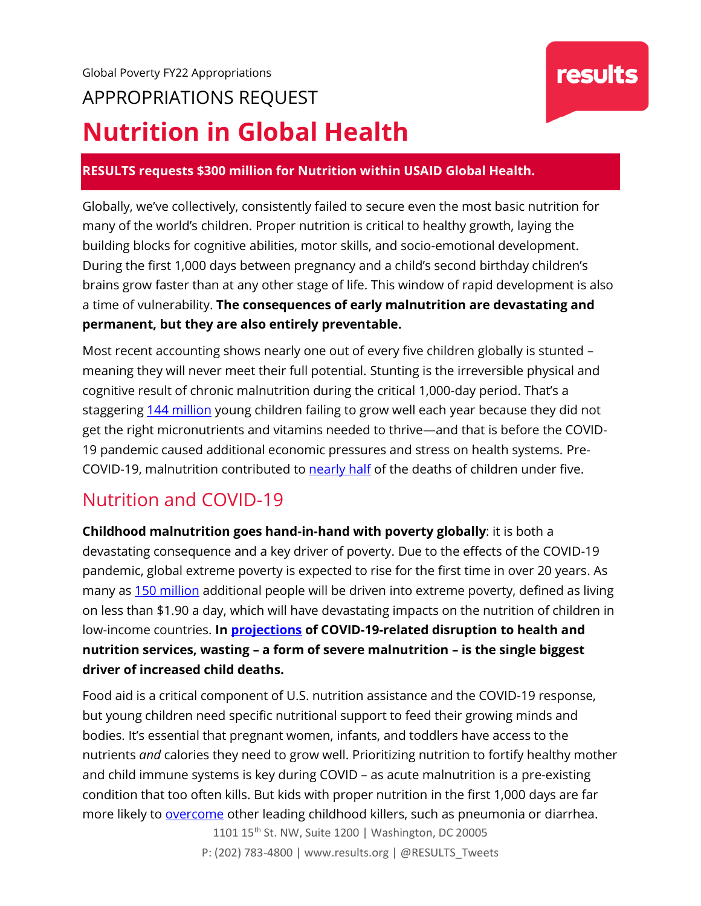#### **RESULTS requests \$300 million for Nutrition within USAID Global Health.**

Globally, we've collectively, consistently failed to secure even the most basic nutrition for many of the world's children. Proper nutrition is critical to healthy growth, laying the building blocks for cognitive abilities, motor skills, and socio-emotional development. During the first 1,000 days between pregnancy and a child's second birthday children's brains grow faster than at any other stage of life. This window of rapid development is also a time of vulnerability. **The consequences of early malnutrition are devastating and permanent, but they are also entirely preventable.** 

Most recent accounting shows nearly one out of every five children globally is stunted – meaning they will never meet their full potential. Stunting is the irreversible physical and cognitive result of chronic malnutrition during the critical 1,000-day period. That's a staggering [144 million](https://www.unicef.org/media/69816/file/Joint-malnutrition-estimates-2020.pdf) young children failing to grow well each year because they did not get the right micronutrients and vitamins needed to thrive—and that is before the COVID-19 pandemic caused additional economic pressures and stress on health systems. Pre-COVID-19, malnutrition contributed to **nearly half** of the deaths of children under five.

### Nutrition and COVID-19

**Childhood malnutrition goes hand-in-hand with poverty globally**: it is both a devastating consequence and a key driver of poverty. Due to the effects of the COVID-19 pandemic, global extreme poverty is expected to rise for the first time in over 20 years. As many as [150 million](https://www.worldbank.org/en/news/press-release/2020/10/07/covid-19-to-add-as-many-as-150-million-extreme-poor-by-2021/) additional people will be driven into extreme poverty, defined as living on less than \$1.90 a day, which will have devastating impacts on the nutrition of children in low-income countries. **In [projections](https://papers.ssrn.com/sol3/papers.cfm?abstract_id=3576549) of COVID-19-related disruption to health and nutrition services, wasting – a form of severe malnutrition – is the single biggest driver of increased child deaths.**

Food aid is a critical component of U.S. nutrition assistance and the COVID-19 response, but young children need specific nutritional support to feed their growing minds and bodies. It's essential that pregnant women, infants, and toddlers have access to the nutrients *and* calories they need to grow well. Prioritizing nutrition to fortify healthy mother and child immune systems is key during COVID – as acute malnutrition is a pre-existing condition that too often kills. But kids with proper nutrition in the first 1,000 days are far more likely to [overcome](https://data.unicef.org/topic/nutrition/malnutrition/) other leading childhood killers, such as pneumonia or diarrhea.

> 1101 15<sup>th</sup> St. NW, Suite 1200 | Washington, DC 20005 P: (202) 783-4800 | www.results.org | @RESULTS\_Tweets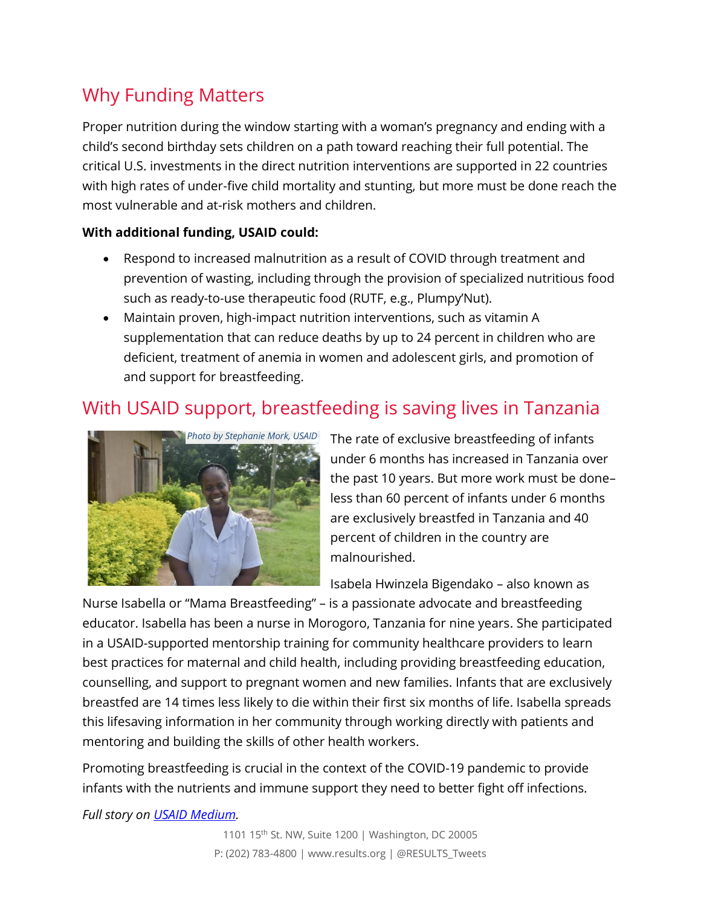## Why Funding Matters

Proper nutrition during the window starting with a woman's pregnancy and ending with a child's second birthday sets children on a path toward reaching their full potential. The critical U.S. investments in the direct nutrition interventions are supported in 22 countries with high rates of under-five child mortality and stunting, but more must be done reach the most vulnerable and at-risk mothers and children.

#### **With additional funding, USAID could:**

- Respond to increased malnutrition as a result of COVID through treatment and prevention of wasting, including through the provision of specialized nutritious food such as ready-to-use therapeutic food (RUTF, e.g., Plumpy'Nut).
- Maintain proven, high-impact nutrition interventions, such as vitamin A supplementation that can reduce deaths by up to 24 percent in children who are deficient, treatment of anemia in women and adolescent girls, and promotion of and support for breastfeeding.

## With USAID support, breastfeeding is saving lives in Tanzania



The rate of exclusive breastfeeding of infants under 6 months has increased in Tanzania over the past 10 years. But more work must be done– less than 60 percent of infants under 6 months are exclusively breastfed in Tanzania and 40 percent of children in the country are malnourished.

Isabela Hwinzela Bigendako – also known as

Nurse Isabella or "Mama Breastfeeding" – is a passionate advocate and breastfeeding educator. Isabella has been a nurse in Morogoro, Tanzania for nine years. She participated in a USAID-supported mentorship training for community healthcare providers to learn best practices for maternal and child health, including providing breastfeeding education, counselling, and support to pregnant women and new families. Infants that are exclusively breastfed are 14 times less likely to die within their first six months of life. Isabella spreads this lifesaving information in her community through working directly with patients and mentoring and building the skills of other health workers.

Promoting breastfeeding is crucial in the context of the COVID-19 pandemic to provide infants with the nutrients and immune support they need to better fight off infections.

*Full story on [USAID Medium.](https://medium.com/usaid-2030/mama-breastfeeding-79800449fd59)*